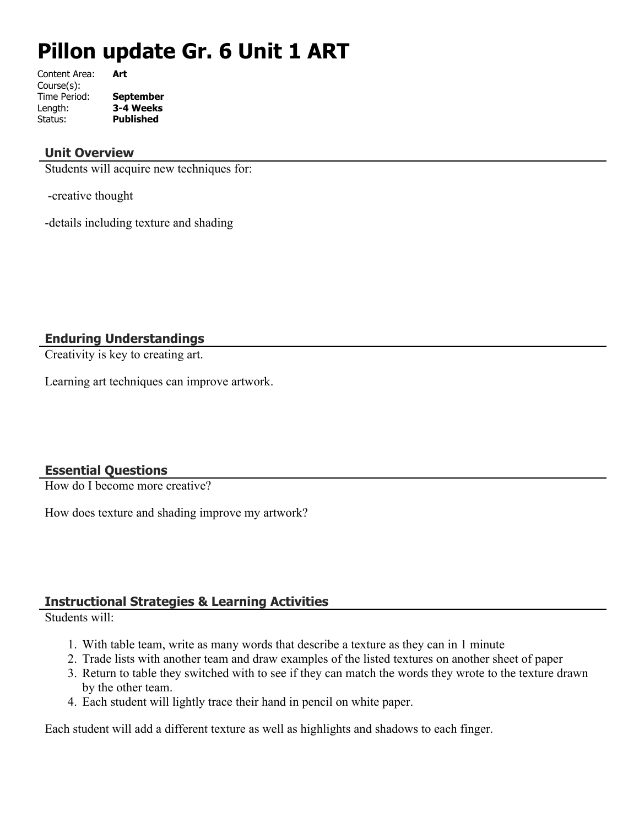# **Pillon update Gr. 6 Unit 1 ART**

Content Area: **Art** Course(s): Time Period: **September** Length: **3-4 Weeks** Status: **Published**

## **Unit Overview**

Students will acquire new techniques for:

-creative thought

-details including texture and shading

**Enduring Understandings**

Creativity is key to creating art.

Learning art techniques can improve artwork.

## **Essential Questions**

How do I become more creative?

How does texture and shading improve my artwork?

## **Instructional Strategies & Learning Activities**

Students will:

- 1. With table team, write as many words that describe a texture as they can in 1 minute
- 2. Trade lists with another team and draw examples of the listed textures on another sheet of paper
- 3. Return to table they switched with to see if they can match the words they wrote to the texture drawn by the other team.
- 4. Each student will lightly trace their hand in pencil on white paper.

Each student will add a different texture as well as highlights and shadows to each finger.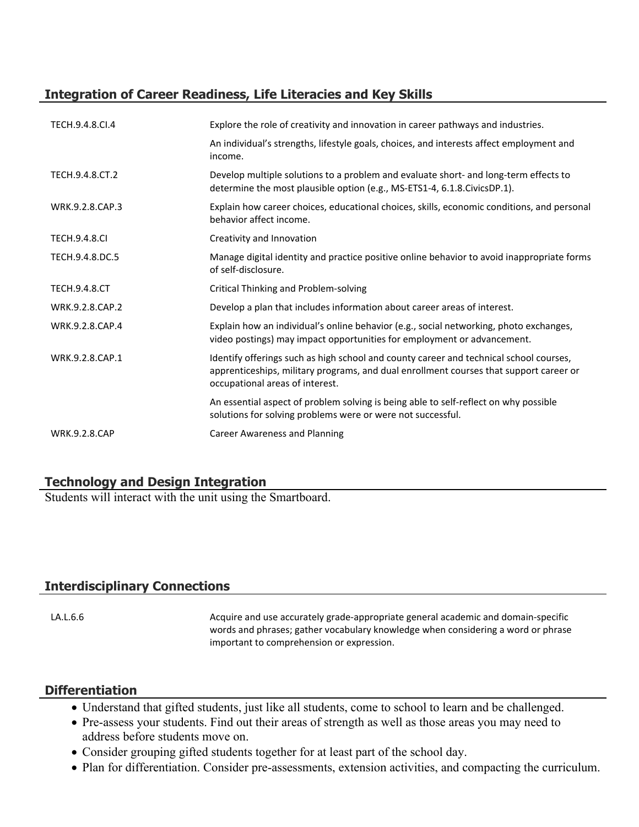# **Integration of Career Readiness, Life Literacies and Key Skills**

| TECH.9.4.8.Cl.4      | Explore the role of creativity and innovation in career pathways and industries.                                                                                                                                    |
|----------------------|---------------------------------------------------------------------------------------------------------------------------------------------------------------------------------------------------------------------|
|                      | An individual's strengths, lifestyle goals, choices, and interests affect employment and<br>income.                                                                                                                 |
| TECH.9.4.8.CT.2      | Develop multiple solutions to a problem and evaluate short- and long-term effects to<br>determine the most plausible option (e.g., MS-ETS1-4, 6.1.8.CivicsDP.1).                                                    |
| WRK.9.2.8.CAP.3      | Explain how career choices, educational choices, skills, economic conditions, and personal<br>behavior affect income.                                                                                               |
| <b>TECH.9.4.8.CI</b> | Creativity and Innovation                                                                                                                                                                                           |
| TECH.9.4.8.DC.5      | Manage digital identity and practice positive online behavior to avoid inappropriate forms<br>of self-disclosure.                                                                                                   |
| <b>TECH.9.4.8.CT</b> | Critical Thinking and Problem-solving                                                                                                                                                                               |
| WRK.9.2.8.CAP.2      | Develop a plan that includes information about career areas of interest.                                                                                                                                            |
| WRK.9.2.8.CAP.4      | Explain how an individual's online behavior (e.g., social networking, photo exchanges,<br>video postings) may impact opportunities for employment or advancement.                                                   |
| WRK.9.2.8.CAP.1      | Identify offerings such as high school and county career and technical school courses,<br>apprenticeships, military programs, and dual enrollment courses that support career or<br>occupational areas of interest. |
|                      | An essential aspect of problem solving is being able to self-reflect on why possible<br>solutions for solving problems were or were not successful.                                                                 |
| <b>WRK.9.2.8.CAP</b> | Career Awareness and Planning                                                                                                                                                                                       |

## **Technology and Design Integration**

Students will interact with the unit using the Smartboard.

## **Interdisciplinary Connections**

LA.L.6.6 **Acquire and use accurately grade-appropriate general academic and domain-specific** in  $\blacksquare$ words and phrases; gather vocabulary knowledge when considering a word or phrase important to comprehension or expression.

## **Differentiation**

- Understand that gifted students, just like all students, come to school to learn and be challenged.
- Pre-assess your students. Find out their areas of strength as well as those areas you may need to address before students move on.
- Consider grouping gifted students together for at least part of the school day.
- Plan for differentiation. Consider pre-assessments, extension activities, and compacting the curriculum.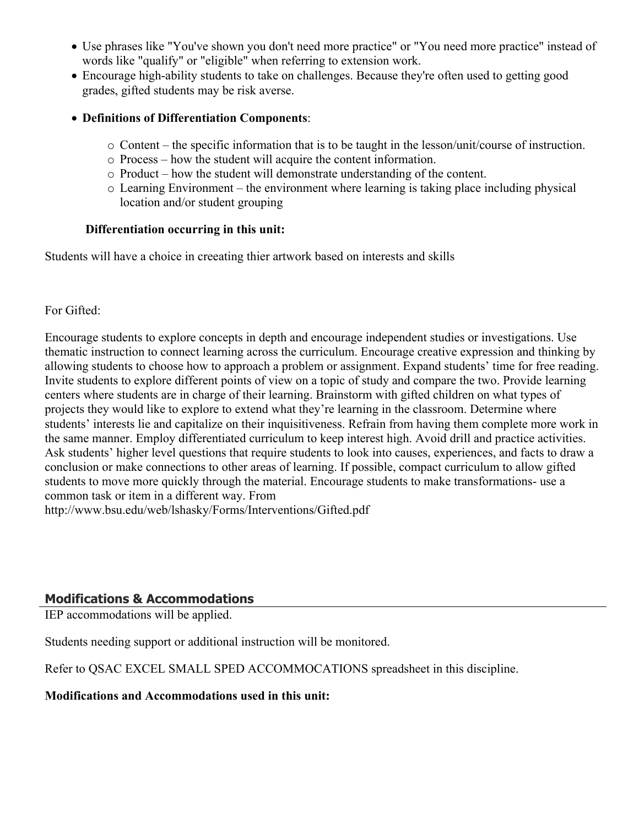- Use phrases like "You've shown you don't need more practice" or "You need more practice" instead of words like "qualify" or "eligible" when referring to extension work.
- Encourage high-ability students to take on challenges. Because they're often used to getting good grades, gifted students may be risk averse.
- **Definitions of Differentiation Components**:
	- o Content the specific information that is to be taught in the lesson/unit/course of instruction.
	- o Process how the student will acquire the content information.
	- o Product how the student will demonstrate understanding of the content.
	- o Learning Environment the environment where learning is taking place including physical location and/or student grouping

## **Differentiation occurring in this unit:**

Students will have a choice in creeating thier artwork based on interests and skills

## For Gifted:

Encourage students to explore concepts in depth and encourage independent studies or investigations. Use thematic instruction to connect learning across the curriculum. Encourage creative expression and thinking by allowing students to choose how to approach a problem or assignment. Expand students' time for free reading. Invite students to explore different points of view on a topic of study and compare the two. Provide learning centers where students are in charge of their learning. Brainstorm with gifted children on what types of projects they would like to explore to extend what they're learning in the classroom. Determine where students' interests lie and capitalize on their inquisitiveness. Refrain from having them complete more work in the same manner. Employ differentiated curriculum to keep interest high. Avoid drill and practice activities. Ask students' higher level questions that require students to look into causes, experiences, and facts to draw a conclusion or make connections to other areas of learning. If possible, compact curriculum to allow gifted students to move more quickly through the material. Encourage students to make transformations- use a common task or item in a different way. From

http://www.bsu.edu/web/lshasky/Forms/Interventions/Gifted.pdf

# **Modifications & Accommodations**

IEP accommodations will be applied.

Students needing support or additional instruction will be monitored.

Refer to QSAC EXCEL SMALL SPED ACCOMMOCATIONS spreadsheet in this discipline.

#### **Modifications and Accommodations used in this unit:**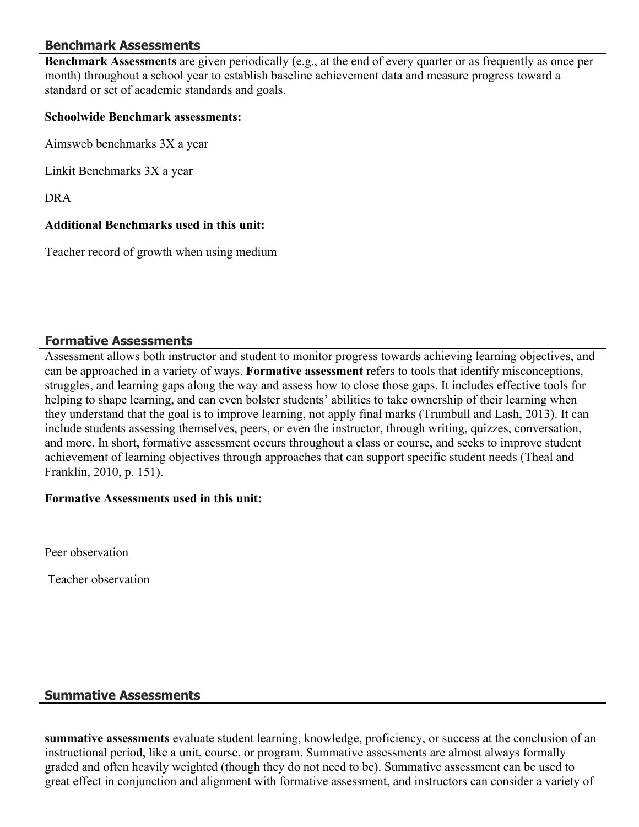## **Benchmark Assessments**

**Benchmark Assessments** are given periodically (e.g., at the end of every quarter or as frequently as once per month) throughout a school year to establish baseline achievement data and measure progress toward a standard or set of academic standards and goals.

#### **Schoolwide Benchmark assessments:**

Aimsweb benchmarks 3X a year

Linkit Benchmarks 3X a year

DRA

#### **Additional Benchmarks used in this unit:**

Teacher record of growth when using medium

#### **Formative Assessments**

Assessment allows both instructor and student to monitor progress towards achieving learning objectives, and can be approached in a variety of ways. **Formative assessment** refers to tools that identify misconceptions, struggles, and learning gaps along the way and assess how to close those gaps. It includes effective tools for helping to shape learning, and can even bolster students' abilities to take ownership of their learning when they understand that the goal is to improve learning, not apply final marks (Trumbull and Lash, 2013). It can include students assessing themselves, peers, or even the instructor, through writing, quizzes, conversation, and more. In short, formative assessment occurs throughout a class or course, and seeks to improve student achievement of learning objectives through approaches that can support specific student needs (Theal and Franklin, 2010, p. 151).

#### **Formative Assessments used in this unit:**

Peer observation

Teacher observation

#### **Summative Assessments**

**summative assessments** evaluate student learning, knowledge, proficiency, or success at the conclusion of an instructional period, like a unit, course, or program. Summative assessments are almost always formally graded and often heavily weighted (though they do not need to be). Summative assessment can be used to great effect in conjunction and alignment with formative assessment, and instructors can consider a variety of